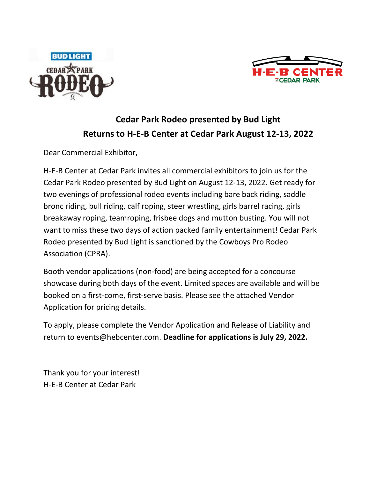



## **Cedar Park Rodeo presented by Bud Light Returns to H-E-B Center at Cedar Park August 12-13, 2022**

Dear Commercial Exhibitor,

H-E-B Center at Cedar Park invites all commercial exhibitors to join us for the Cedar Park Rodeo presented by Bud Light on August 12-13, 2022. Get ready for two evenings of professional rodeo events including bare back riding, saddle bronc riding, bull riding, calf roping, steer wrestling, girls barrel racing, girls breakaway roping, teamroping, frisbee dogs and mutton busting. You will not want to miss these two days of action packed family entertainment! Cedar Park Rodeo presented by Bud Light is sanctioned by the Cowboys Pro Rodeo Association (CPRA).

Booth vendor applications (non-food) are being accepted for a concourse showcase during both days of the event. Limited spaces are available and will be booked on a first-come, first-serve basis. Please see the attached Vendor Application for pricing details.

To apply, please complete the Vendor Application and Release of Liability and return to events@hebcenter.com. **Deadline for applications is July 29, 2022.**

Thank you for your interest! H-E-B Center at Cedar Park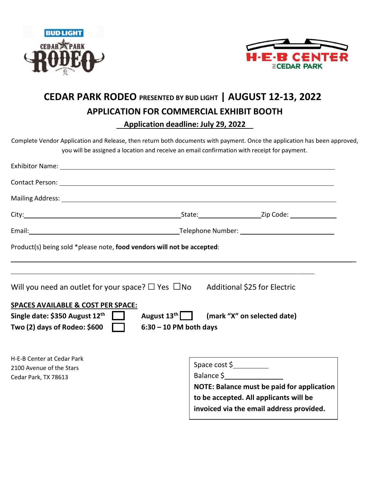



## **CEDAR PARK RODEO PRESENTED BY BUD LIGHT | AUGUST 12-13, 2022 APPLICATION FOR COMMERCIAL EXHIBIT BOOTH Application deadline: July 29, 2022**

Complete Vendor Application and Release, then return both documents with payment. Once the application has been approved, you will be assigned a location and receive an email confirmation with receipt for payment.

| Exhibitor Name: 1999 March 2008 March 2009 March 2009 March 2009 March 2009 March 2009 March 2009 March 2009 M                                                                                                                 |                                                                                                                                                                 |
|--------------------------------------------------------------------------------------------------------------------------------------------------------------------------------------------------------------------------------|-----------------------------------------------------------------------------------------------------------------------------------------------------------------|
| Contact Person: National Accounts of the Contact Person in the Contact Person: National Accounts of the Contact Person:                                                                                                        |                                                                                                                                                                 |
| Mailing Address: 1988 Communication of the Communication of the Communication of the Communication of the Communication of the Communication of the Communication of the Communication of the Communication of the Communicati |                                                                                                                                                                 |
|                                                                                                                                                                                                                                |                                                                                                                                                                 |
|                                                                                                                                                                                                                                |                                                                                                                                                                 |
| Product(s) being sold *please note, food vendors will not be accepted:                                                                                                                                                         |                                                                                                                                                                 |
| Will you need an outlet for your space? $\Box$ Yes $\Box$ No Additional \$25 for Electric                                                                                                                                      |                                                                                                                                                                 |
| <b>SPACES AVAILABLE &amp; COST PER SPACE:</b><br>August 13 <sup>th</sup> (mark "X" on selected date)<br>Single date: \$350 August $12^{th}$<br>Two (2) days of Rodeo: $$600$<br>$6:30 - 10$ PM both days                       |                                                                                                                                                                 |
| H-E-B Center at Cedar Park<br>2100 Avenue of the Stars<br>Cedar Park, TX 78613                                                                                                                                                 | Space cost \$<br>Balance \$<br>NOTE: Balance must be paid for application<br>to be accepted. All applicants will be<br>invoiced via the email address provided. |